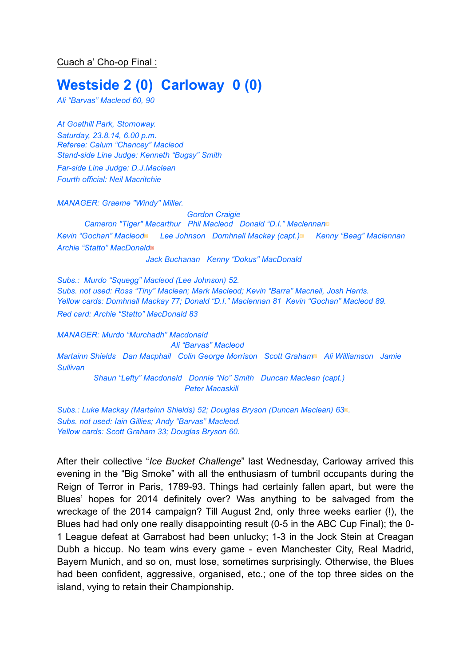Cuach a' Cho-op Final :

## **Westside 2 (0) Carloway 0 (0)**

*Ali "Barvas" Macleod 60, 90*

*At Goathill Park, Stornoway. Saturday, 23.8.14, 6.00 p.m. Referee: Calum "Chancey" Macleod Stand-side Line Judge: Kenneth "Bugsy" Smith*

*Far-side Line Judge: D.J.Maclean Fourth official: Neil Macritchie*

*MANAGER: Graeme "Windy" Miller.* 

*Gordon Craigie Cameron "Tiger" Macarthur Phil Macleod Donald "D.I." Maclennan*▩ *Kevin "Gochan" Macleod*▩ *Lee Johnson Domhnall Mackay (capt.)*▩ *Kenny "Beag" Maclennan Archie "Statto" MacDonald*▩

*Jack Buchanan Kenny "Dokus" MacDonald*

*Subs.: Murdo "Squegg" Macleod (Lee Johnson) 52. Subs. not used: Ross "Tiny" Maclean; Mark Macleod; Kevin "Barra" Macneil, Josh Harris. Yellow cards: Domhnall Mackay 77; Donald "D.I." Maclennan 81 Kevin "Gochan" Macleod 89. Red card: Archie "Statto" MacDonald 83*

*MANAGER: Murdo "Murchadh" Macdonald Ali "Barvas" Macleod Martainn Shields Dan Macphail Colin George Morrison Scott Graham*▩ *Ali Williamson Jamie Sullivan Shaun "Lefty" Macdonald Donnie "No" Smith Duncan Maclean (capt.) Peter Macaskill*

*Subs.: Luke Mackay (Martainn Shields) 52; Douglas Bryson (Duncan Maclean) 63*▩*. Subs. not used: Iain Gillies; Andy "Barvas" Macleod. Yellow cards: Scott Graham 33; Douglas Bryson 60.* 

After their collective "*Ice Bucket Challenge*" last Wednesday, Carloway arrived this evening in the "Big Smoke" with all the enthusiasm of tumbril occupants during the Reign of Terror in Paris, 1789-93. Things had certainly fallen apart, but were the Blues' hopes for 2014 definitely over? Was anything to be salvaged from the wreckage of the 2014 campaign? Till August 2nd, only three weeks earlier (!), the Blues had had only one really disappointing result (0-5 in the ABC Cup Final); the 0- 1 League defeat at Garrabost had been unlucky; 1-3 in the Jock Stein at Creagan Dubh a hiccup. No team wins every game - even Manchester City, Real Madrid, Bayern Munich, and so on, must lose, sometimes surprisingly. Otherwise, the Blues had been confident, aggressive, organised, etc.; one of the top three sides on the island, vying to retain their Championship.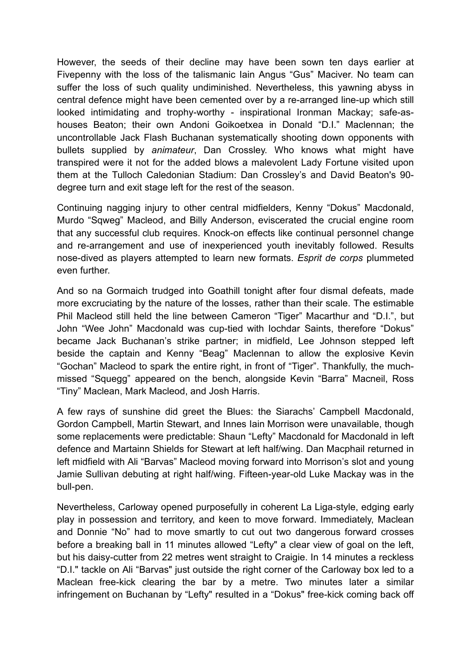However, the seeds of their decline may have been sown ten days earlier at Fivepenny with the loss of the talismanic Iain Angus "Gus" Maciver. No team can suffer the loss of such quality undiminished. Nevertheless, this yawning abyss in central defence might have been cemented over by a re-arranged line-up which still looked intimidating and trophy-worthy - inspirational Ironman Mackay; safe-ashouses Beaton; their own Andoni Goikoetxea in Donald "D.I." Maclennan; the uncontrollable Jack Flash Buchanan systematically shooting down opponents with bullets supplied by *animateur*, Dan Crossley. Who knows what might have transpired were it not for the added blows a malevolent Lady Fortune visited upon them at the Tulloch Caledonian Stadium: Dan Crossley's and David Beaton's 90 degree turn and exit stage left for the rest of the season.

Continuing nagging injury to other central midfielders, Kenny "Dokus" Macdonald, Murdo "Sqweg" Macleod, and Billy Anderson, eviscerated the crucial engine room that any successful club requires. Knock-on effects like continual personnel change and re-arrangement and use of inexperienced youth inevitably followed. Results nose-dived as players attempted to learn new formats. *Esprit de corps* plummeted even further.

And so na Gormaich trudged into Goathill tonight after four dismal defeats, made more excruciating by the nature of the losses, rather than their scale. The estimable Phil Macleod still held the line between Cameron "Tiger" Macarthur and "D.I.", but John "Wee John" Macdonald was cup-tied with Iochdar Saints, therefore "Dokus" became Jack Buchanan's strike partner; in midfield, Lee Johnson stepped left beside the captain and Kenny "Beag" Maclennan to allow the explosive Kevin "Gochan" Macleod to spark the entire right, in front of "Tiger". Thankfully, the muchmissed "Squegg" appeared on the bench, alongside Kevin "Barra" Macneil, Ross "Tiny" Maclean, Mark Macleod, and Josh Harris.

A few rays of sunshine did greet the Blues: the Siarachs' Campbell Macdonald, Gordon Campbell, Martin Stewart, and Innes Iain Morrison were unavailable, though some replacements were predictable: Shaun "Lefty" Macdonald for Macdonald in left defence and Martainn Shields for Stewart at left half/wing. Dan Macphail returned in left midfield with Ali "Barvas" Macleod moving forward into Morrison's slot and young Jamie Sullivan debuting at right half/wing. Fifteen-year-old Luke Mackay was in the bull-pen.

Nevertheless, Carloway opened purposefully in coherent La Liga-style, edging early play in possession and territory, and keen to move forward. Immediately, Maclean and Donnie "No" had to move smartly to cut out two dangerous forward crosses before a breaking ball in 11 minutes allowed "Lefty" a clear view of goal on the left, but his daisy-cutter from 22 metres went straight to Craigie. In 14 minutes a reckless "D.I." tackle on Ali "Barvas" just outside the right corner of the Carloway box led to a Maclean free-kick clearing the bar by a metre. Two minutes later a similar infringement on Buchanan by "Lefty" resulted in a "Dokus" free-kick coming back off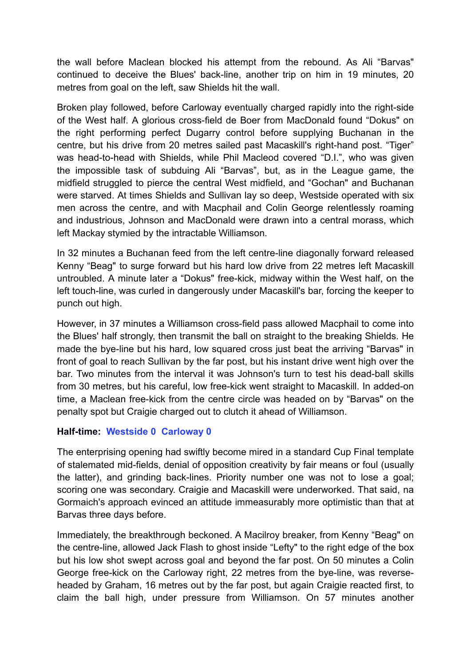the wall before Maclean blocked his attempt from the rebound. As Ali "Barvas" continued to deceive the Blues' back-line, another trip on him in 19 minutes, 20 metres from goal on the left, saw Shields hit the wall.

Broken play followed, before Carloway eventually charged rapidly into the right-side of the West half. A glorious cross-field de Boer from MacDonald found "Dokus" on the right performing perfect Dugarry control before supplying Buchanan in the centre, but his drive from 20 metres sailed past Macaskill's right-hand post. "Tiger" was head-to-head with Shields, while Phil Macleod covered "D.I.", who was given the impossible task of subduing Ali "Barvas", but, as in the League game, the midfield struggled to pierce the central West midfield, and "Gochan" and Buchanan were starved. At times Shields and Sullivan lay so deep, Westside operated with six men across the centre, and with Macphail and Colin George relentlessly roaming and industrious, Johnson and MacDonald were drawn into a central morass, which left Mackay stymied by the intractable Williamson.

In 32 minutes a Buchanan feed from the left centre-line diagonally forward released Kenny "Beag" to surge forward but his hard low drive from 22 metres left Macaskill untroubled. A minute later a "Dokus" free-kick, midway within the West half, on the left touch-line, was curled in dangerously under Macaskill's bar, forcing the keeper to punch out high.

However, in 37 minutes a Williamson cross-field pass allowed Macphail to come into the Blues' half strongly, then transmit the ball on straight to the breaking Shields. He made the bye-line but his hard, low squared cross just beat the arriving "Barvas" in front of goal to reach Sullivan by the far post, but his instant drive went high over the bar. Two minutes from the interval it was Johnson's turn to test his dead-ball skills from 30 metres, but his careful, low free-kick went straight to Macaskill. In added-on time, a Maclean free-kick from the centre circle was headed on by "Barvas" on the penalty spot but Craigie charged out to clutch it ahead of Williamson.

## **Half-time: Westside 0 Carloway 0**

The enterprising opening had swiftly become mired in a standard Cup Final template of stalemated mid-fields, denial of opposition creativity by fair means or foul (usually the latter), and grinding back-lines. Priority number one was not to lose a goal; scoring one was secondary. Craigie and Macaskill were underworked. That said, na Gormaich's approach evinced an attitude immeasurably more optimistic than that at Barvas three days before.

Immediately, the breakthrough beckoned. A Macilroy breaker, from Kenny "Beag" on the centre-line, allowed Jack Flash to ghost inside "Lefty" to the right edge of the box but his low shot swept across goal and beyond the far post. On 50 minutes a Colin George free-kick on the Carloway right, 22 metres from the bye-line, was reverseheaded by Graham, 16 metres out by the far post, but again Craigie reacted first, to claim the ball high, under pressure from Williamson. On 57 minutes another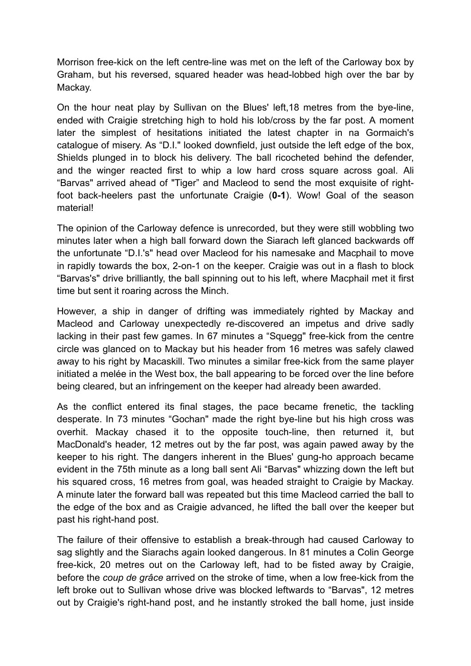Morrison free-kick on the left centre-line was met on the left of the Carloway box by Graham, but his reversed, squared header was head-lobbed high over the bar by Mackay.

On the hour neat play by Sullivan on the Blues' left,18 metres from the bye-line, ended with Craigie stretching high to hold his lob/cross by the far post. A moment later the simplest of hesitations initiated the latest chapter in na Gormaich's catalogue of misery. As "D.I." looked downfield, just outside the left edge of the box, Shields plunged in to block his delivery. The ball ricocheted behind the defender, and the winger reacted first to whip a low hard cross square across goal. Ali "Barvas" arrived ahead of "Tiger" and Macleod to send the most exquisite of rightfoot back-heelers past the unfortunate Craigie (**0-1**). Wow! Goal of the season material!

The opinion of the Carloway defence is unrecorded, but they were still wobbling two minutes later when a high ball forward down the Siarach left glanced backwards off the unfortunate "D.I.'s" head over Macleod for his namesake and Macphail to move in rapidly towards the box, 2-on-1 on the keeper. Craigie was out in a flash to block "Barvas's" drive brilliantly, the ball spinning out to his left, where Macphail met it first time but sent it roaring across the Minch.

However, a ship in danger of drifting was immediately righted by Mackay and Macleod and Carloway unexpectedly re-discovered an impetus and drive sadly lacking in their past few games. In 67 minutes a "Squegg" free-kick from the centre circle was glanced on to Mackay but his header from 16 metres was safely clawed away to his right by Macaskill. Two minutes a similar free-kick from the same player initiated a melée in the West box, the ball appearing to be forced over the line before being cleared, but an infringement on the keeper had already been awarded.

As the conflict entered its final stages, the pace became frenetic, the tackling desperate. In 73 minutes "Gochan" made the right bye-line but his high cross was overhit. Mackay chased it to the opposite touch-line, then returned it, but MacDonald's header, 12 metres out by the far post, was again pawed away by the keeper to his right. The dangers inherent in the Blues' gung-ho approach became evident in the 75th minute as a long ball sent Ali "Barvas" whizzing down the left but his squared cross, 16 metres from goal, was headed straight to Craigie by Mackay. A minute later the forward ball was repeated but this time Macleod carried the ball to the edge of the box and as Craigie advanced, he lifted the ball over the keeper but past his right-hand post.

The failure of their offensive to establish a break-through had caused Carloway to sag slightly and the Siarachs again looked dangerous. In 81 minutes a Colin George free-kick, 20 metres out on the Carloway left, had to be fisted away by Craigie, before the *coup de grâce* arrived on the stroke of time, when a low free-kick from the left broke out to Sullivan whose drive was blocked leftwards to "Barvas", 12 metres out by Craigie's right-hand post, and he instantly stroked the ball home, just inside